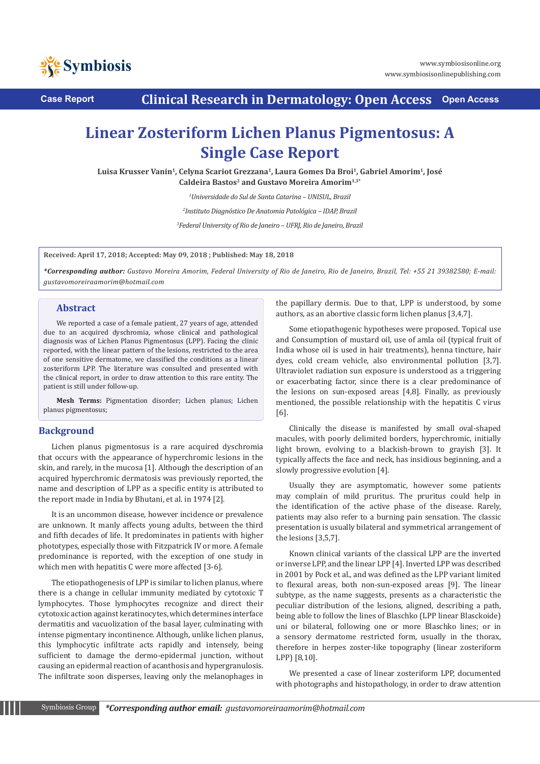



**Case Report Clinical Research in Dermatology: Open Access Open Access**

# **Linear Zosteriform Lichen Planus Pigmentosus: A Single Case Report**

**Luisa Krusser Vanin1, Celyna Scariot Grezzana1, Laura Gomes Da Broi1, Gabriel Amorim1, José Caldeira Bastos2 and Gustavo Moreira Amorim1,3\***

*1 Universidade do Sul de Santa Catarina – UNISUL, Brazil*

*2 Instituto Diagnóstico De Anatomia Patológica – IDAP, Brazil*

*3 Federal University of Rio de Janeiro – UFRJ, Rio de Janeiro, Brazil*

**Received: April 17, 2018; Accepted: May 09, 2018 ; Published: May 18, 2018**

*\*Corresponding author: Gustavo Moreira Amorim, Federal University of Rio de Janeiro, Rio de Janeiro, Brazil, Tel: +55 21 39382580; E-mail: gustavomoreiraamorim@hotmail.com* 

#### **Abstract**

We reported a case of a female patient, 27 years of age, attended due to an acquired dyschromia, whose clinical and pathological diagnosis was of Lichen Planus Pigmentosus (LPP). Facing the clinic reported, with the linear pattern of the lesions, restricted to the area of one sensitive dermatome, we classified the conditions as a linear zosteriform LPP. The literature was consulted and presented with the clinical report, in order to draw attention to this rare entity. The patient is still under follow-up.

**Mesh Terms:** Pigmentation disorder; Lichen planus; Lichen planus pigmentosus;

## **Background**

Lichen planus pigmentosus is a rare acquired dyschromia that occurs with the appearance of hyperchromic lesions in the skin, and rarely, in the mucosa [1]. Although the description of an acquired hyperchromic dermatosis was previously reported, the name and description of LPP as a specific entity is attributed to the report made in India by Bhutani, et al. in 1974 [2].

It is an uncommon disease, however incidence or prevalence are unknown. It manly affects young adults, between the third and fifth decades of life. It predominates in patients with higher phototypes, especially those with Fitzpatrick IV or more. A female predominance is reported, with the exception of one study in which men with hepatitis C were more affected [3-6].

The etiopathogenesis of LPP is similar to lichen planus, where there is a change in cellular immunity mediated by cytotoxic T lymphocytes. Those lymphocytes recognize and direct their cytotoxic action against keratinocytes, which determines interface dermatitis and vacuolization of the basal layer, culminating with intense pigmentary incontinence. Although, unlike lichen planus, this lymphocytic infiltrate acts rapidly and intensely, being sufficient to damage the dermo-epidermal junction, without causing an epidermal reaction of acanthosis and hypergranulosis. The infiltrate soon disperses, leaving only the melanophages in

the papillary dermis. Due to that, LPP is understood, by some authors, as an abortive classic form lichen planus [3,4,7].

Some etiopathogenic hypotheses were proposed. Topical use and Consumption of mustard oil, use of amla oil (typical fruit of India whose oil is used in hair treatments), henna tincture, hair dyes, cold cream vehicle, also environmental pollution [3,7]. Ultraviolet radiation sun exposure is understood as a triggering or exacerbating factor, since there is a clear predominance of the lesions on sun-exposed areas [4,8]. Finally, as previously mentioned, the possible relationship with the hepatitis C virus [6].

Clinically the disease is manifested by small oval-shaped macules, with poorly delimited borders, hyperchromic, initially light brown, evolving to a blackish-brown to grayish [3]. It typically affects the face and neck, has insidious beginning, and a slowly progressive evolution [4].

Usually they are asymptomatic, however some patients may complain of mild pruritus. The pruritus could help in the identification of the active phase of the disease. Rarely, patients may also refer to a burning pain sensation. The classic presentation is usually bilateral and symmetrical arrangement of the lesions [3,5,7].

Known clinical variants of the classical LPP are the inverted or inverse LPP, and the linear LPP [4]. Inverted LPP was described in 2001 by Pock et al., and was defined as the LPP variant limited to flexural areas, both non-sun-exposed areas [9]. The linear subtype, as the name suggests, presents as a characteristic the peculiar distribution of the lesions, aligned, describing a path, being able to follow the lines of Blaschko (LPP linear Blasckoide) uni or bilateral, following one or more Blaschko lines; or in a sensory dermatome restricted form, usually in the thorax, therefore in herpes zoster-like topography (linear zosteriform LPP) [8,10].

We presented a case of linear zosteriform LPP, documented with photographs and histopathology, in order to draw attention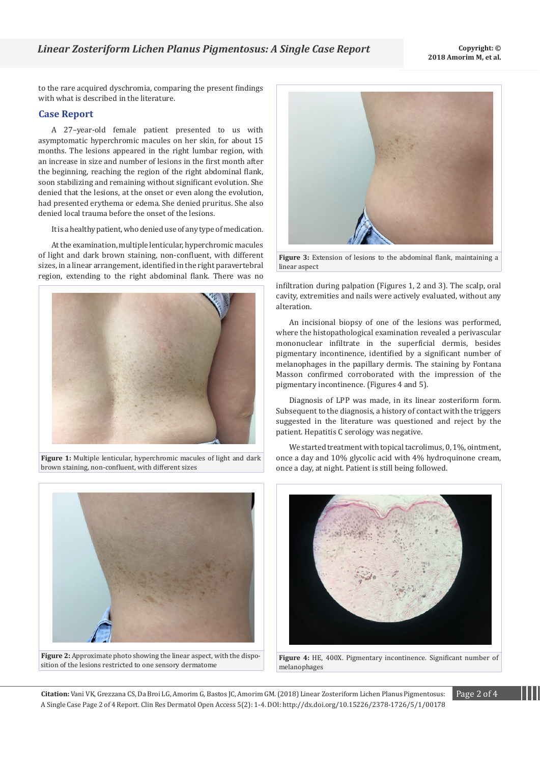to the rare acquired dyschromia, comparing the present findings with what is described in the literature.

## **Case Report**

A 27–year-old female patient presented to us with asymptomatic hyperchromic macules on her skin, for about 15 months. The lesions appeared in the right lumbar region, with an increase in size and number of lesions in the first month after the beginning, reaching the region of the right abdominal flank, soon stabilizing and remaining without significant evolution. She denied that the lesions, at the onset or even along the evolution, had presented erythema or edema. She denied pruritus. She also denied local trauma before the onset of the lesions.

It is a healthy patient, who denied use of any type of medication.

At the examination, multiple lenticular, hyperchromic macules of light and dark brown staining, non-confluent, with different sizes, in a linear arrangement, identified in the right paravertebral region, extending to the right abdominal flank. There was no



**Figure 1:** Multiple lenticular, hyperchromic macules of light and dark brown staining, non-confluent, with different sizes



**Figure 2:** Approximate photo showing the linear aspect, with the disposition of the lesions restricted to one sensory dermatome



**Figure 3:** Extension of lesions to the abdominal flank, maintaining a linear aspect

infiltration during palpation (Figures 1, 2 and 3). The scalp, oral cavity, extremities and nails were actively evaluated, without any alteration.

An incisional biopsy of one of the lesions was performed, where the histopathological examination revealed a perivascular mononuclear infiltrate in the superficial dermis, besides pigmentary incontinence, identified by a significant number of melanophages in the papillary dermis. The staining by Fontana Masson confirmed corroborated with the impression of the pigmentary incontinence. (Figures 4 and 5).

Diagnosis of LPP was made, in its linear zosteriform form. Subsequent to the diagnosis, a history of contact with the triggers suggested in the literature was questioned and reject by the patient. Hepatitis C serology was negative.

We started treatment with topical tacrolimus, 0, 1%, ointment, once a day and 10% glycolic acid with 4% hydroquinone cream, once a day, at night. Patient is still being followed.



**Figure 4:** HE, 400X. Pigmentary incontinence. Significant number of melanophages

**Citation:** Vani VK, Grezzana CS, Da Broi LG, Amorim G, Bastos JC, Amorim GM. (2018) Linear Zosteriform Lichen Planus Pigmentosus: Page 2 of 4 A Single Case Page 2 of 4 Report. Clin Res Dermatol Open Access 5(2): 1-4. DOI: http://dx.doi.org/10.15226/2378-1726/5/1/00178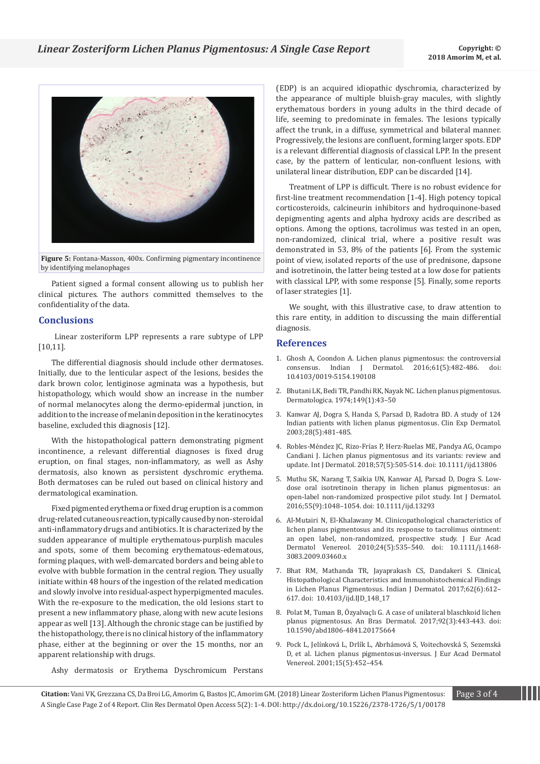

**Figure 5:** Fontana-Masson, 400x. Confirming pigmentary incontinence by identifying melanophages

Patient signed a formal consent allowing us to publish her clinical pictures. The authors committed themselves to the confidentiality of the data.

### **Conclusions**

 Linear zosteriform LPP represents a rare subtype of LPP [10,11].

The differential diagnosis should include other dermatoses. Initially, due to the lenticular aspect of the lesions, besides the dark brown color, lentiginose agminata was a hypothesis, but histopathology, which would show an increase in the number of normal melanocytes along the dermo-epidermal junction, in addition to the increase of melanin deposition in the keratinocytes baseline, excluded this diagnosis [12].

With the histopathological pattern demonstrating pigment incontinence, a relevant differential diagnoses is fixed drug eruption, on final stages, non-inflammatory, as well as Ashy dermatosis, also known as persistent dyschromic erythema. Both dermatoses can be ruled out based on clinical history and dermatological examination.

Fixed pigmented erythema or fixed drug eruption is a common drug-related cutaneous reaction, typically caused by non-steroidal anti-inflammatory drugs and antibiotics. It is characterized by the sudden appearance of multiple erythematous-purplish macules and spots, some of them becoming erythematous-edematous, forming plaques, with well-demarcated borders and being able to evolve with bubble formation in the central region. They usually initiate within 48 hours of the ingestion of the related medication and slowly involve into residual-aspect hyperpigmented macules. With the re-exposure to the medication, the old lesions start to present a new inflammatory phase, along with new acute lesions appear as well [13]. Although the chronic stage can be justified by the histopathology, there is no clinical history of the inflammatory phase, either at the beginning or over the 15 months, nor an apparent relationship with drugs.

(EDP) is an acquired idiopathic dyschromia, characterized by the appearance of multiple bluish-gray macules, with slightly erythematous borders in young adults in the third decade of life, seeming to predominate in females. The lesions typically affect the trunk, in a diffuse, symmetrical and bilateral manner. Progressively, the lesions are confluent, forming larger spots. EDP is a relevant differential diagnosis of classical LPP. In the present case, by the pattern of lenticular, non-confluent lesions, with unilateral linear distribution, EDP can be discarded [14].

Treatment of LPP is difficult. There is no robust evidence for first-line treatment recommendation [1-4]. High potency topical corticosteroids, calcineurin inhibitors and hydroquinone-based depigmenting agents and alpha hydroxy acids are described as options. Among the options, tacrolimus was tested in an open, non-randomized, clinical trial, where a positive result was demonstrated in 53, 8% of the patients [6]. From the systemic point of view, isolated reports of the use of prednisone, dapsone and isotretinoin, the latter being tested at a low dose for patients with classical LPP, with some response [5]. Finally, some reports of laser strategies [1].

We sought, with this illustrative case, to draw attention to this rare entity, in addition to discussing the main differential diagnosis.

## **References**

- 1. [Ghosh A, Coondon A. Lichen planus pigmentosus: the controversial](https://www.ncbi.nlm.nih.gov/pubmed/27688435) consensus. Indian J Dermatol. 2016;61(5):482-486. doi: [consensus. Indian J Dermatol. 2016;61\(5\):482-486. doi:](https://www.ncbi.nlm.nih.gov/pubmed/27688435)  [10.4103/0019-5154.190108](https://www.ncbi.nlm.nih.gov/pubmed/27688435)
- 2. [Bhutani LK, Bedi TR, Pandhi RK, Nayak NC. Lichen planus pigmentosus.](https://www.karger.com/Article/Purchase/251470)  [Dermatologica. 1974;149\(1\):43–50](https://www.karger.com/Article/Purchase/251470)
- 3. [Kanwar AJ, Dogra S, Handa S, Parsad D, Radotra BD. A study of 124](https://www.ncbi.nlm.nih.gov/pubmed/12950331)  [Indian patients with lichen planus pigmentosus. Clin Exp Dermatol.](https://www.ncbi.nlm.nih.gov/pubmed/12950331)  [2003;28\(5\):481-485.](https://www.ncbi.nlm.nih.gov/pubmed/12950331)
- 4. [Robles-Méndez JC, Rizo-Frías P, Herz-Ruelas ME, Pandya AG, Ocampo](https://www.ncbi.nlm.nih.gov/pubmed/29076159)  [Candiani J. Lichen planus pigmentosus and its variants: review and](https://www.ncbi.nlm.nih.gov/pubmed/29076159)  [update. Int J Dermatol. 2018;57\(5\):505-514. doi: 10.1111/ijd.13806](https://www.ncbi.nlm.nih.gov/pubmed/29076159)
- 5. [Muthu SK, Narang T, Saikia UN, Kanwar AJ, Parsad D, Dogra S. Low](https://www.ncbi.nlm.nih.gov/pubmed/27062273)[dose oral isotretinoin therapy in lichen planus pigmentosus: an](https://www.ncbi.nlm.nih.gov/pubmed/27062273)  [open-label non-randomized prospective pilot study. Int J Dermatol.](https://www.ncbi.nlm.nih.gov/pubmed/27062273)  [2016;55\(9\):1048–1054. doi: 10.1111/ijd.13293](https://www.ncbi.nlm.nih.gov/pubmed/27062273)
- 6. [Al-Mutairi N, El-Khalawany M. Clinicopathological characteristics of](https://www.ncbi.nlm.nih.gov/pubmed/19840200)  [lichen planus pigmentosus and its response to tacrolimus ointment:](https://www.ncbi.nlm.nih.gov/pubmed/19840200)  [an open label, non-randomized, prospective study. J Eur Acad](https://www.ncbi.nlm.nih.gov/pubmed/19840200)  [Dermatol Venereol. 2010;24\(5\):535–540. doi: 10.1111/j.1468-](https://www.ncbi.nlm.nih.gov/pubmed/19840200) [3083.2009.03460.x](https://www.ncbi.nlm.nih.gov/pubmed/19840200)
- 7. [Bhat RM, Mathanda TR, Jayaprakash CS, Dandakeri S. Clinical,](https://www.ncbi.nlm.nih.gov/pmc/articles/PMC5724309/)  [Histopathological Characteristics and Immunohistochemical Findings](https://www.ncbi.nlm.nih.gov/pmc/articles/PMC5724309/)  [in Lichen Planus Pigmentosus. Indian J Dermatol. 2017;62\(6\):612–](https://www.ncbi.nlm.nih.gov/pmc/articles/PMC5724309/) [617. doi: 10.4103/ijd.IJD\\_148\\_17](https://www.ncbi.nlm.nih.gov/pmc/articles/PMC5724309/)
- 8. [Polat M, Tuman B, Özyalvaçlı G. A case of unilateral blaschkoid lichen](https://www.ncbi.nlm.nih.gov/pmc/articles/PMC5514604/)  [planus pigmentosus. An Bras Dermatol. 2017;92\(3\):443-443. doi:](https://www.ncbi.nlm.nih.gov/pmc/articles/PMC5514604/)  [10.1590/abd1806-4841.20175664](https://www.ncbi.nlm.nih.gov/pmc/articles/PMC5514604/)
- 9. [Pock L, Jelínková L, Drlík L, Abrhámová S, Voitechovská S, Sezemská](https://onlinelibrary.wiley.com/doi/pdf/10.1046/j.1468-3083.2001.00347.x)  [D, et al. Lichen planus pigmentosus-inversus. J Eur Acad Dermatol](https://onlinelibrary.wiley.com/doi/pdf/10.1046/j.1468-3083.2001.00347.x)  [Venereol. 2001;15\(5\):452–454.](https://onlinelibrary.wiley.com/doi/pdf/10.1046/j.1468-3083.2001.00347.x)

Ashy dermatosis or Erythema Dyschromicum Perstans

**Citation:** Vani VK, Grezzana CS, Da Broi LG, Amorim G, Bastos JC, Amorim GM. (2018) Linear Zosteriform Lichen Planus Pigmentosus: Page 3 of 4 A Single Case Page 2 of 4 Report. Clin Res Dermatol Open Access 5(2): 1-4. DOI: http://dx.doi.org/10.15226/2378-1726/5/1/00178